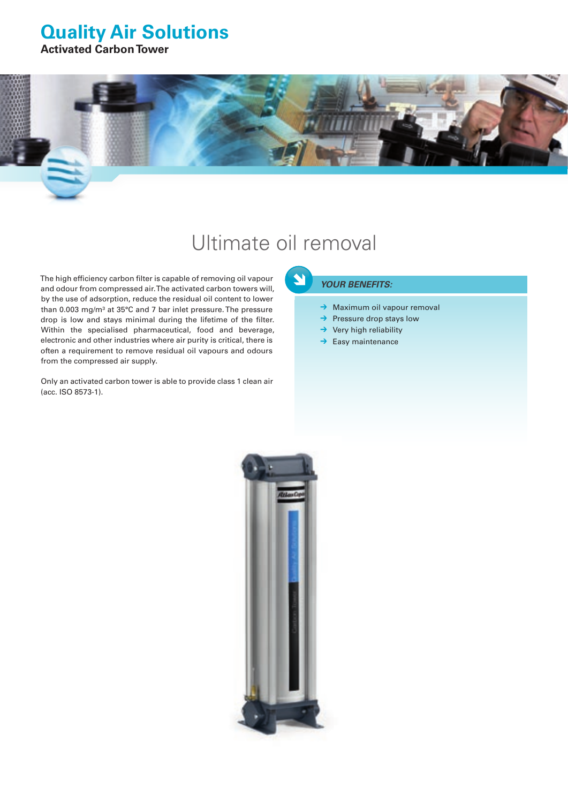### **Quality Air Solutions**

**Activated Carbon Tower**

# Ultimate oil removal

 $\blacktriangleleft$ 

The high efficiency carbon filter is capable of removing oil vapour and odour from compressed air. The activated carbon towers will, by the use of adsorption, reduce the residual oil content to lower than 0.003 mg/m<sup>3</sup> at 35°C and 7 bar inlet pressure. The pressure drop is low and stays minimal during the lifetime of the filter. Within the specialised pharmaceutical, food and beverage, electronic and other industries where air purity is critical, there is often a requirement to remove residual oil vapours and odours from the compressed air supply.

Only an activated carbon tower is able to provide class 1 clean air (acc. ISO 8573-1).

*Your benefits:*

- ➔ Maximum oil vapour removal
- ➔ Pressure drop stays low
- $\rightarrow$  Very high reliability
- $\rightarrow$  Easy maintenance